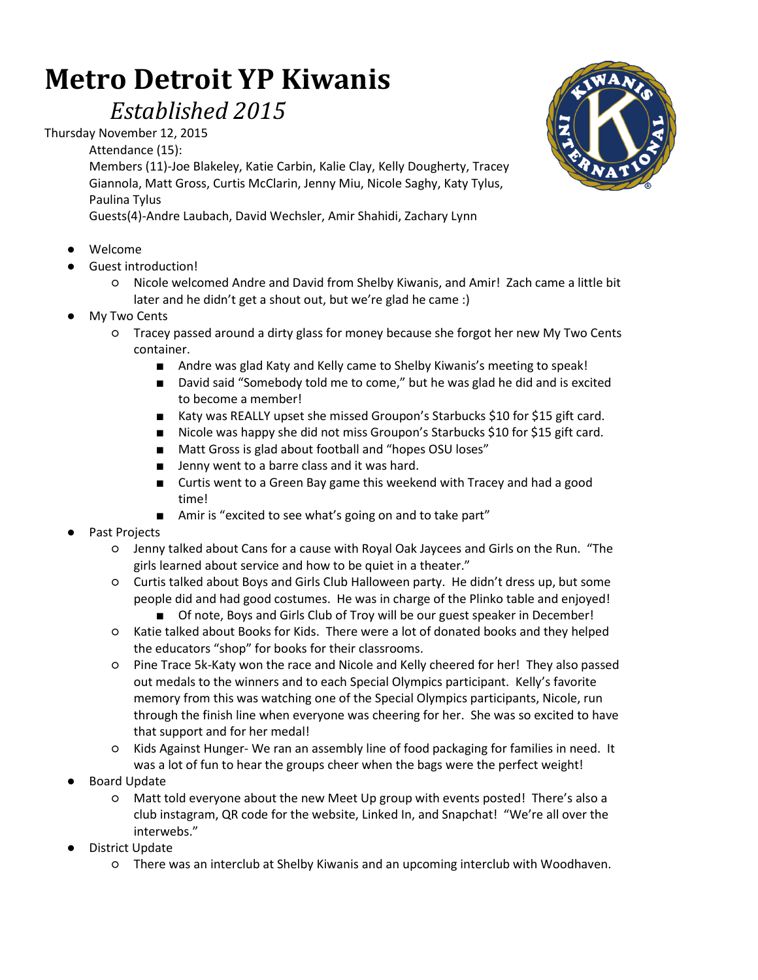## **Metro Detroit YP Kiwanis**

## *Established 2015*

Thursday November 12, 2015

Attendance (15):

Members (11)-Joe Blakeley, Katie Carbin, Kalie Clay, Kelly Dougherty, Tracey Giannola, Matt Gross, Curtis McClarin, Jenny Miu, Nicole Saghy, Katy Tylus, Paulina Tylus

Guests(4)-Andre Laubach, David Wechsler, Amir Shahidi, Zachary Lynn

- Welcome
- Guest introduction!
	- Nicole welcomed Andre and David from Shelby Kiwanis, and Amir! Zach came a little bit later and he didn't get a shout out, but we're glad he came :)
- **My Two Cents** 
	- Tracey passed around a dirty glass for money because she forgot her new My Two Cents container.
		- Andre was glad Katy and Kelly came to Shelby Kiwanis's meeting to speak!
		- David said "Somebody told me to come," but he was glad he did and is excited to become a member!
		- Katy was REALLY upset she missed Groupon's Starbucks \$10 for \$15 gift card.
		- Nicole was happy she did not miss Groupon's Starbucks \$10 for \$15 gift card.
		- Matt Gross is glad about football and "hopes OSU loses"
		- Jenny went to a barre class and it was hard.
		- Curtis went to a Green Bay game this weekend with Tracey and had a good time!
		- Amir is "excited to see what's going on and to take part"
- Past Projects
	- Jenny talked about Cans for a cause with Royal Oak Jaycees and Girls on the Run. "The girls learned about service and how to be quiet in a theater."
	- Curtis talked about Boys and Girls Club Halloween party. He didn't dress up, but some people did and had good costumes. He was in charge of the Plinko table and enjoyed!
		- Of note, Boys and Girls Club of Troy will be our guest speaker in December!
	- Katie talked about Books for Kids. There were a lot of donated books and they helped the educators "shop" for books for their classrooms.
	- Pine Trace 5k-Katy won the race and Nicole and Kelly cheered for her! They also passed out medals to the winners and to each Special Olympics participant. Kelly's favorite memory from this was watching one of the Special Olympics participants, Nicole, run through the finish line when everyone was cheering for her. She was so excited to have that support and for her medal!
	- Kids Against Hunger- We ran an assembly line of food packaging for families in need. It was a lot of fun to hear the groups cheer when the bags were the perfect weight!
- **Board Update** 
	- Matt told everyone about the new Meet Up group with events posted! There's also a club instagram, QR code for the website, Linked In, and Snapchat! "We're all over the interwebs."
- District Update
	- There was an interclub at Shelby Kiwanis and an upcoming interclub with Woodhaven.